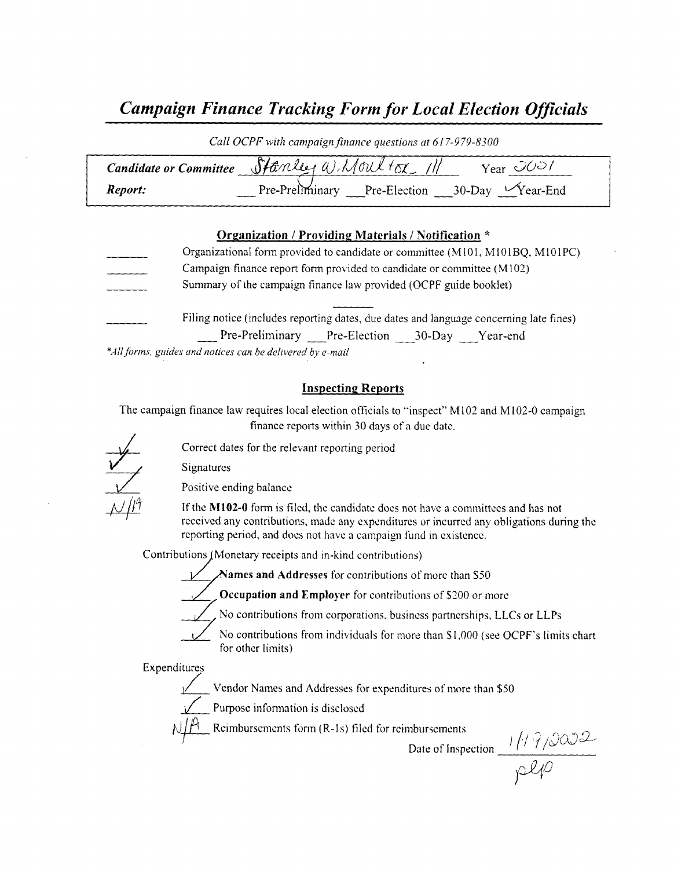# Campaign Finance Tracking Form for Local Election Officials

| Call OCPF with campaign finance questions at 617-979-8300 |                                                                                                                |  |  |
|-----------------------------------------------------------|----------------------------------------------------------------------------------------------------------------|--|--|
|                                                           | Candidate or Committee $\sqrt{\frac{2}{3}}$ Candidate or Committee $\sqrt{\frac{2}{3}}$<br>Year $\partial$ 021 |  |  |
| Report:                                                   | Pre-Preliminary Pre-Election 30-Day $\sqrt{Y}$ ear-End                                                         |  |  |

### Organization / Providing Materials/ Notification \*

Organizational form provided to candidate or committee (M101, M101BQ, M101PC) Campaign finance report form provided to candidate or committee ( M102) Summary of the campaign finance law provided (OCPF guide booklet) Filing notice (includes reporting dates, due dates and language concerning late fines) Pre-Preliminary Pre-Election 30-Day Year-end

\*All forms, guides and notices can be delivered by e-mail

#### Inspecting Reports

The campaign finance law requires local election officials to "inspect" M102 and M102-0 campaign finance reports within 30 days of <sup>a</sup> due date. Inspecting Report<br>The campaign finance law requires local election officials<br>finance reports within 30 days<br>Correct dates for the relevant reporting period<br>Signatures<br>Positive ending balance

Signatures

Positive ending balance

If the M102-0 form is filed, the candidate does not have a committees and has not received any contributions, made any expenditures or incurred any obligations during the reporting period, and does not have a campaign fund in existence.

Contributions (Monetary receipts and in-kind contributions)

**Fames and Addresses** for contributions of more than \$50<br>Occupation and Employer for contributions of \$200 or more

No contributions from corporations, business partnerships, LLCs or LLPs

No contributions from individuals for more than \$1,000 (see OCPF's limits chart for other limits)

Expenditure<br>/

1/

Vendor Names and Addresses for expenditures of more than\$ 50

Purpose information is disclosed

 $\mathcal{P}_1$  Reimbursements form (R-1s) filed for reimbursements

Date of Inspection  $1/(3/9a)$ 

.<br>!D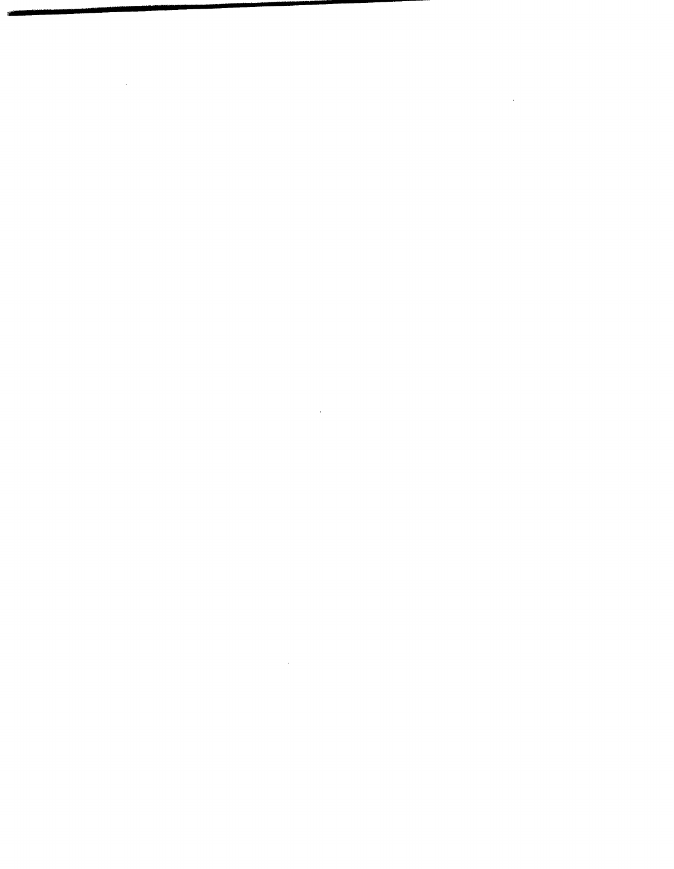$\mathcal{L}^{\text{max}}_{\text{max}}$  and  $\mathcal{L}^{\text{max}}_{\text{max}}$  $\label{eq:2.1} \frac{1}{\sqrt{2}}\int_{\mathbb{R}^3}\frac{1}{\sqrt{2}}\left(\frac{1}{\sqrt{2}}\right)^2\frac{1}{\sqrt{2}}\left(\frac{1}{\sqrt{2}}\right)^2\frac{1}{\sqrt{2}}\left(\frac{1}{\sqrt{2}}\right)^2\frac{1}{\sqrt{2}}\left(\frac{1}{\sqrt{2}}\right)^2.$  $\label{eq:2.1} \frac{1}{\sqrt{2}}\left(\frac{1}{\sqrt{2}}\right)^{2} \left(\frac{1}{\sqrt{2}}\right)^{2} \left(\frac{1}{\sqrt{2}}\right)^{2} \left(\frac{1}{\sqrt{2}}\right)^{2} \left(\frac{1}{\sqrt{2}}\right)^{2} \left(\frac{1}{\sqrt{2}}\right)^{2} \left(\frac{1}{\sqrt{2}}\right)^{2} \left(\frac{1}{\sqrt{2}}\right)^{2} \left(\frac{1}{\sqrt{2}}\right)^{2} \left(\frac{1}{\sqrt{2}}\right)^{2} \left(\frac{1}{\sqrt{2}}\right)^{2} \left(\$ 

 $\label{eq:2.1} \frac{1}{\sqrt{2}}\int_{0}^{\infty}\frac{1}{\sqrt{2\pi}}\left(\frac{1}{\sqrt{2\pi}}\right)^{2\alpha} \frac{1}{\sqrt{2\pi}}\int_{0}^{\infty}\frac{1}{\sqrt{2\pi}}\left(\frac{1}{\sqrt{2\pi}}\right)^{\alpha} \frac{1}{\sqrt{2\pi}}\frac{1}{\sqrt{2\pi}}\int_{0}^{\infty}\frac{1}{\sqrt{2\pi}}\frac{1}{\sqrt{2\pi}}\frac{1}{\sqrt{2\pi}}\frac{1}{\sqrt{2\pi}}\frac{1}{\sqrt{2\pi}}\frac{1}{\sqrt{2\pi}}$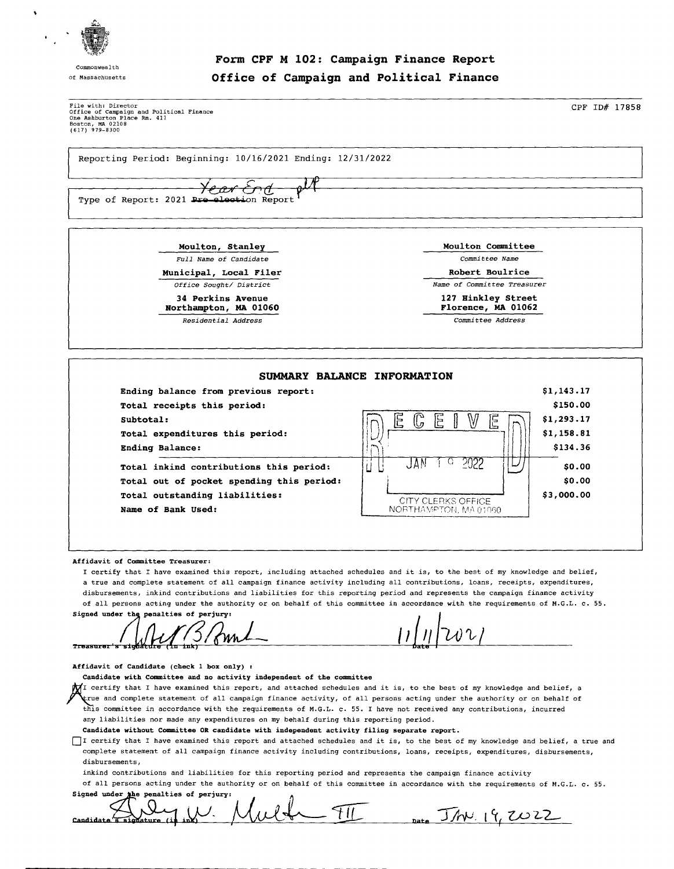

Form CPF <sup>M</sup> 102: Campaign Finance Report of Massachusetts Office of Campaign and Political Finance

File with: Director<br>Office of Campaign and Political Finance<br>One Ashburton Place Rm. 411<br>Roston, MA 02108<br>(617) 979-8300 Reporting Period: Beginning: 10/ 16/ <sup>2021</sup> Ending: 12/ 31/ <sup>2022</sup> **Ye av** Type of Report: 2021 Pre Moulton, Stanley Moulton Committee Full Name of Candidate Committee Name Municipal, Local Filer **Robert Boulrice** Robert Boulrice Office Sought/ District  $\blacksquare$ 34 Perkins Avenue 127 Hinkley Street<br>
127 Hinkley Street<br>
127 Hinkley Street<br>
127 Hinkley Street Northampton, MA 01060 Residential Address Committee Address SUMMARY BALANCE INFORMATION Ending balance from previous report: 1, 143.17 Total receipts this period: 150.00 and 150.00 and 150.00 and 150.00 and 150.00 and 150.00 and 150.00 and 150.00 and 150.00 and 150.00 and 150.00 and 150.00 and 150.00 and 150.00 and 150.00 and 150.00 and 150.00 and 150.00 Subtotal:  $\bigcap_{n\in\mathbb{Z}}\mathbb{E}\mathbb{C}\mathbb{E}\mathbb{I}\mathbb{V}\mathbb{E}\bigcap\big|\sup_{n\geq 1, 293.17}$ Subtotal:<br>Total expenditures this period:  $\boxed{\bigcap_{\square \in \square} \mathbb{E} \cup \mathbb{E} \setminus \bigcap_{\square \in \square} \mathbb{S}^{1,293.17}}$ Ending Balance: JAN 1 <sup>G</sup> 2022 | <sup>j</sup> 134. 36 Total inkind contributions this period: 0. 00 Total out of pocket spending this period: | | 0.00 Total outstanding liabilities: CITY CLERKS OFFICE 3, 000. 00 Name of Bank Used: NORTHAMPTON, MA 01060

Affidavit of Committee Treasurer:

<sup>I</sup> certify that I have examined this report, including attached schedules and it is, to the best of my knowledge and belief, <sup>a</sup> true and complete statement of all campaign finance activity including all contributions, loans, receipts, expenditures, disbursements, inkind contributions and liabilities for this reporting period and represents the campaign finance activity of all persons acting under the authority or on behalf of this committee in accordance with the requirements of M. G. L. c. 55.

Signed under the penalties of perjury: signed under the penalties of perjury:<br>Treasurer's signality (in ink) and and all the set of  $\frac{1}{\sqrt{1-\frac{1}{\sqrt{1-\frac{1}{\sqrt{1-\frac{1}{\sqrt{1-\frac{1}{\sqrt{1-\frac{1}{\sqrt{1-\frac{1}{\sqrt{1-\frac{1}{\sqrt{1-\frac{1}{\sqrt{1-\frac{1}{\sqrt{1-\frac{1}{\sqrt{1-\frac{1}{\sqrt{1-\frac{1}{\sqrt{1-\frac{1}{\sqrt{1-\$ atu

Affidavit of Candidate (check 1 box only) :

Candidate with Committee and no activity independent of the committee

 $\tilde{A}$ I certify that I have examined this report, and attached schedules and it is, to the best of my knowledge and belief, a true and complete statement of all campaign finance activity, of all persons acting under the authority or on behalf of this committee in accordance with the requirements of M. G. L. c. 55. I have not received any contributions, incurred any liabilities nor made any expenditures on my behalf during this reporting period.

Candidate without Committee OR candidate with independent activity filing separate report.

I certify that I have examined this report and attached schedules and it is, to the best of my knowledge and belief, a true and complete statement of all campaign finance activity including contributions, loans, receipts, expenditures, disbursements, disbursements,

inkind contributions and liabilities for this reporting period and represents the campaign finance activity

of all persons acting under the authority or on behalf of this committee in accordance with the requirements of M. G. L. c. 55. Signed under the penalties of perjury:

| Candidate & Signature (i) in | $\frac{144 \times 111}{100}$ Data $\frac{1}{2}$ MV. 19, 2022 |
|------------------------------|--------------------------------------------------------------|
|                              |                                                              |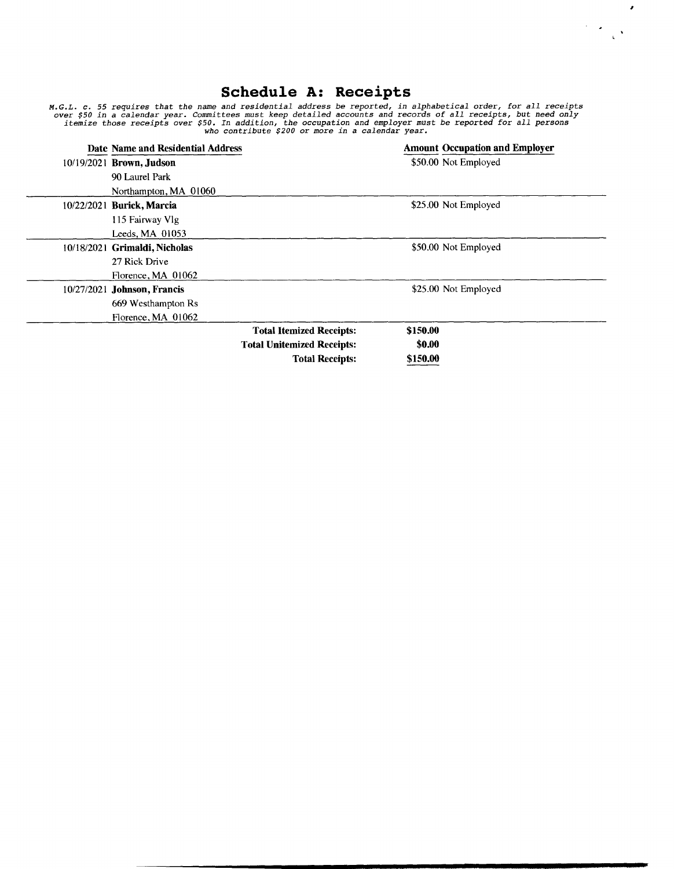### Schedule A: Receipts

 $\mathcal{L}_{\mathcal{A}}$ 

 $\frac{1}{\sqrt{2}}\sum_{\mathbf{k}}\mathbf{v}_{\mathbf{k}}^{\mathbf{k}}\mathbf{v}_{\mathbf{k}}^{\mathbf{k}}$ 

M.G.L. c. 55 requires that the name and residential address be reported, in alphabetical order, for all receipt over \$50 in a calendar year. Committees must keep detailed accounts and records of all receipts, but need only<br>itemize those receipts over \$50. In addition, the occupation and employer must be reported for all persons<br>who

| Date Name and Residential Address   |                                   |          | <b>Amount Occupation and Employer</b> |
|-------------------------------------|-----------------------------------|----------|---------------------------------------|
| 10/19/2021 Brown, Judson            |                                   |          | \$50.00 Not Employed                  |
| 90 Laurel Park                      |                                   |          |                                       |
| Northampton, MA 01060               |                                   |          |                                       |
| 10/22/2021 Burick, Marcia           |                                   |          | \$25.00 Not Employed                  |
| 115 Fairway Vlg                     |                                   |          |                                       |
| Leeds, MA 01053                     |                                   |          |                                       |
| 10/18/2021 Grimaldi, Nicholas       |                                   |          | \$50.00 Not Employed                  |
| 27 Rick Drive                       |                                   |          |                                       |
| Florence, MA 01062                  |                                   |          |                                       |
| 10/27/2021 <b>Johnson</b> , Francis |                                   |          | \$25.00 Not Employed                  |
| 669 Westhampton Rs                  |                                   |          |                                       |
| Florence, MA 01062                  |                                   |          |                                       |
|                                     | <b>Total Itemized Receipts:</b>   | \$150.00 |                                       |
|                                     | <b>Total Unitemized Receipts:</b> | \$0.00   |                                       |
|                                     | <b>Total Receipts:</b>            | \$150.00 |                                       |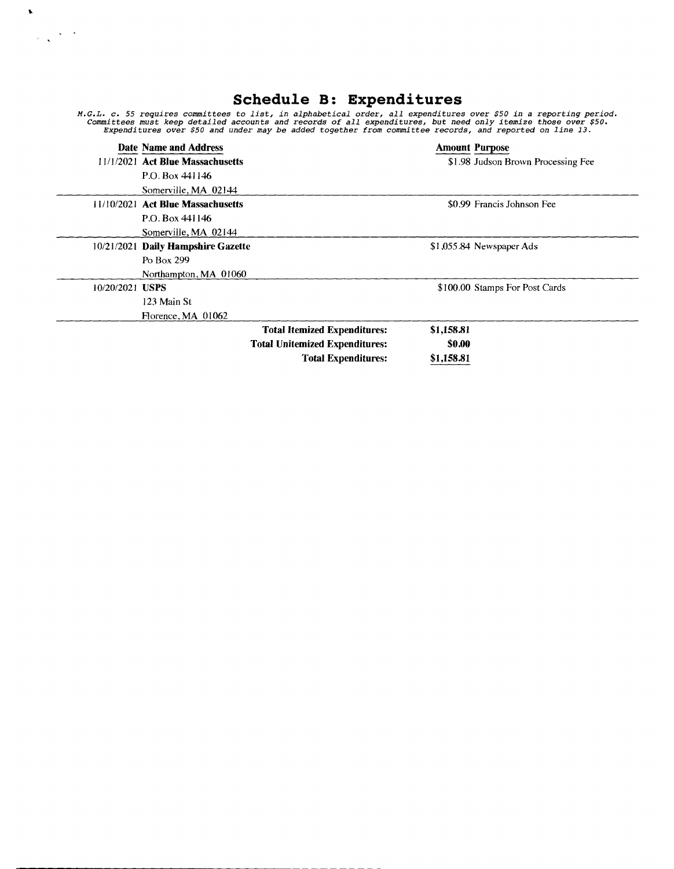|                 | Date Name and Address              |                                       | <b>Amount Purpose</b>              |
|-----------------|------------------------------------|---------------------------------------|------------------------------------|
|                 | 11/1/2021 Act Blue Massachusetts   |                                       | \$1.98 Judson Brown Processing Fee |
|                 | P.O. Box 441146                    |                                       |                                    |
|                 | Somerville, MA 02144               |                                       |                                    |
|                 | 11/10/2021 Act Blue Massachusetts  |                                       | \$0.99 Francis Johnson Fee         |
|                 | P.O. Box 441146                    |                                       |                                    |
|                 | Somerville, MA 02144               |                                       |                                    |
|                 | 10/21/2021 Daily Hampshire Gazette |                                       | \$1,055.84 Newspaper Ads           |
|                 | Po Box 299                         |                                       |                                    |
|                 | Northampton, MA 01060              |                                       |                                    |
| 10/20/2021 USPS |                                    |                                       | \$100.00 Stamps For Post Cards     |
|                 | 123 Main St                        |                                       |                                    |
|                 | Florence, MA 01062                 |                                       |                                    |
|                 |                                    | <b>Total Itemized Expenditures:</b>   | \$1,158.81                         |
|                 |                                    | <b>Total Unitemized Expenditures:</b> | \$0.00                             |
|                 |                                    | <b>Total Expenditures:</b>            | \$1,158.81                         |

# Schedule B: Expenditures

 $\mathbf{v}^{\dagger}$ 

 $\frac{1}{2} \int_{-\infty}^{\infty} \frac{1}{\sqrt{2}} e^{-\frac{2\pi i}{2}} \frac{dx}{dx}$